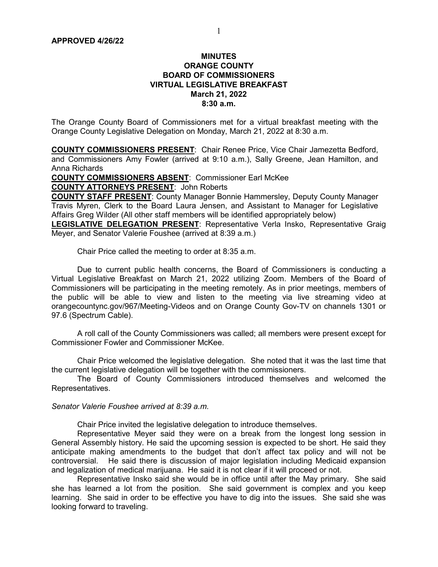### MINUTES ORANGE COUNTY BOARD OF COMMISSIONERS VIRTUAL LEGISLATIVE BREAKFAST March 21, 2022 8:30 a.m.

The Orange County Board of Commissioners met for a virtual breakfast meeting with the Orange County Legislative Delegation on Monday, March 21, 2022 at 8:30 a.m.

COUNTY COMMISSIONERS PRESENT: Chair Renee Price, Vice Chair Jamezetta Bedford, and Commissioners Amy Fowler (arrived at 9:10 a.m.), Sally Greene, Jean Hamilton, and Anna Richards

COUNTY COMMISSIONERS ABSENT: Commissioner Earl McKee

COUNTY ATTORNEYS PRESENT: John Roberts

COUNTY STAFF PRESENT: County Manager Bonnie Hammersley, Deputy County Manager Travis Myren, Clerk to the Board Laura Jensen, and Assistant to Manager for Legislative Affairs Greg Wilder (All other staff members will be identified appropriately below)

LEGISLATIVE DELEGATION PRESENT: Representative Verla Insko, Representative Graig Meyer, and Senator Valerie Foushee (arrived at 8:39 a.m.)

Chair Price called the meeting to order at 8:35 a.m.

Due to current public health concerns, the Board of Commissioners is conducting a Virtual Legislative Breakfast on March 21, 2022 utilizing Zoom. Members of the Board of Commissioners will be participating in the meeting remotely. As in prior meetings, members of the public will be able to view and listen to the meeting via live streaming video at orangecountync.gov/967/Meeting-Videos and on Orange County Gov-TV on channels 1301 or 97.6 (Spectrum Cable).

 A roll call of the County Commissioners was called; all members were present except for Commissioner Fowler and Commissioner McKee.

 Chair Price welcomed the legislative delegation. She noted that it was the last time that the current legislative delegation will be together with the commissioners.

The Board of County Commissioners introduced themselves and welcomed the Representatives.

Senator Valerie Foushee arrived at 8:39 a.m.

Chair Price invited the legislative delegation to introduce themselves.

Representative Meyer said they were on a break from the longest long session in General Assembly history. He said the upcoming session is expected to be short. He said they anticipate making amendments to the budget that don't affect tax policy and will not be controversial. He said there is discussion of major legislation including Medicaid expansion and legalization of medical marijuana. He said it is not clear if it will proceed or not.

Representative Insko said she would be in office until after the May primary. She said she has learned a lot from the position. She said government is complex and you keep learning. She said in order to be effective you have to dig into the issues. She said she was looking forward to traveling.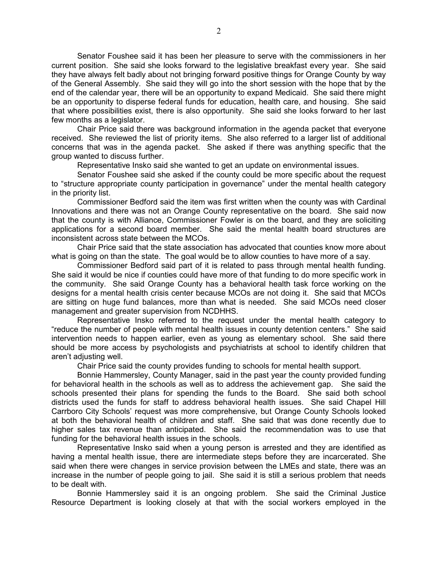Senator Foushee said it has been her pleasure to serve with the commissioners in her current position. She said she looks forward to the legislative breakfast every year. She said they have always felt badly about not bringing forward positive things for Orange County by way of the General Assembly. She said they will go into the short session with the hope that by the end of the calendar year, there will be an opportunity to expand Medicaid. She said there might be an opportunity to disperse federal funds for education, health care, and housing. She said that where possibilities exist, there is also opportunity. She said she looks forward to her last few months as a legislator.

Chair Price said there was background information in the agenda packet that everyone received. She reviewed the list of priority items. She also referred to a larger list of additional concerns that was in the agenda packet. She asked if there was anything specific that the group wanted to discuss further.

Representative Insko said she wanted to get an update on environmental issues.

Senator Foushee said she asked if the county could be more specific about the request to "structure appropriate county participation in governance" under the mental health category in the priority list.

Commissioner Bedford said the item was first written when the county was with Cardinal Innovations and there was not an Orange County representative on the board. She said now that the county is with Alliance, Commissioner Fowler is on the board, and they are soliciting applications for a second board member. She said the mental health board structures are inconsistent across state between the MCOs.

Chair Price said that the state association has advocated that counties know more about what is going on than the state. The goal would be to allow counties to have more of a say.

Commissioner Bedford said part of it is related to pass through mental health funding. She said it would be nice if counties could have more of that funding to do more specific work in the community. She said Orange County has a behavioral health task force working on the designs for a mental health crisis center because MCOs are not doing it. She said that MCOs are sitting on huge fund balances, more than what is needed. She said MCOs need closer management and greater supervision from NCDHHS.

Representative Insko referred to the request under the mental health category to "reduce the number of people with mental health issues in county detention centers." She said intervention needs to happen earlier, even as young as elementary school. She said there should be more access by psychologists and psychiatrists at school to identify children that aren't adjusting well.

Chair Price said the county provides funding to schools for mental health support.

Bonnie Hammersley, County Manager, said in the past year the county provided funding for behavioral health in the schools as well as to address the achievement gap. She said the schools presented their plans for spending the funds to the Board. She said both school districts used the funds for staff to address behavioral health issues. She said Chapel Hill Carrboro City Schools' request was more comprehensive, but Orange County Schools looked at both the behavioral health of children and staff. She said that was done recently due to higher sales tax revenue than anticipated. She said the recommendation was to use that funding for the behavioral health issues in the schools.

Representative Insko said when a young person is arrested and they are identified as having a mental health issue, there are intermediate steps before they are incarcerated. She said when there were changes in service provision between the LMEs and state, there was an increase in the number of people going to jail. She said it is still a serious problem that needs to be dealt with.

Bonnie Hammersley said it is an ongoing problem. She said the Criminal Justice Resource Department is looking closely at that with the social workers employed in the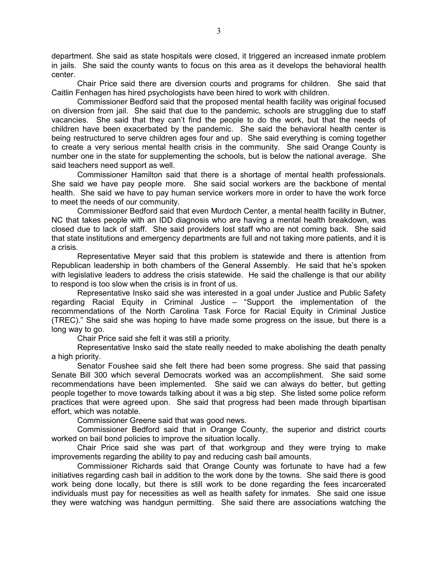department. She said as state hospitals were closed, it triggered an increased inmate problem in jails. She said the county wants to focus on this area as it develops the behavioral health center.

Chair Price said there are diversion courts and programs for children. She said that Caitlin Fenhagen has hired psychologists have been hired to work with children.

Commissioner Bedford said that the proposed mental health facility was original focused on diversion from jail. She said that due to the pandemic, schools are struggling due to staff vacancies. She said that they can't find the people to do the work, but that the needs of children have been exacerbated by the pandemic. She said the behavioral health center is being restructured to serve children ages four and up. She said everything is coming together to create a very serious mental health crisis in the community. She said Orange County is number one in the state for supplementing the schools, but is below the national average. She said teachers need support as well.

Commissioner Hamilton said that there is a shortage of mental health professionals. She said we have pay people more. She said social workers are the backbone of mental health. She said we have to pay human service workers more in order to have the work force to meet the needs of our community.

Commissioner Bedford said that even Murdoch Center, a mental health facility in Butner, NC that takes people with an IDD diagnosis who are having a mental health breakdown, was closed due to lack of staff. She said providers lost staff who are not coming back. She said that state institutions and emergency departments are full and not taking more patients, and it is a crisis.

Representative Meyer said that this problem is statewide and there is attention from Republican leadership in both chambers of the General Assembly. He said that he's spoken with legislative leaders to address the crisis statewide. He said the challenge is that our ability to respond is too slow when the crisis is in front of us.

Representative Insko said she was interested in a goal under Justice and Public Safety regarding Racial Equity in Criminal Justice – "Support the implementation of the recommendations of the North Carolina Task Force for Racial Equity in Criminal Justice (TREC)." She said she was hoping to have made some progress on the issue, but there is a long way to go.

Chair Price said she felt it was still a priority.

Representative Insko said the state really needed to make abolishing the death penalty a high priority.

Senator Foushee said she felt there had been some progress. She said that passing Senate Bill 300 which several Democrats worked was an accomplishment. She said some recommendations have been implemented. She said we can always do better, but getting people together to move towards talking about it was a big step. She listed some police reform practices that were agreed upon. She said that progress had been made through bipartisan effort, which was notable.

Commissioner Greene said that was good news.

Commissioner Bedford said that in Orange County, the superior and district courts worked on bail bond policies to improve the situation locally.

Chair Price said she was part of that workgroup and they were trying to make improvements regarding the ability to pay and reducing cash bail amounts.

Commissioner Richards said that Orange County was fortunate to have had a few initiatives regarding cash bail in addition to the work done by the towns. She said there is good work being done locally, but there is still work to be done regarding the fees incarcerated individuals must pay for necessities as well as health safety for inmates. She said one issue they were watching was handgun permitting. She said there are associations watching the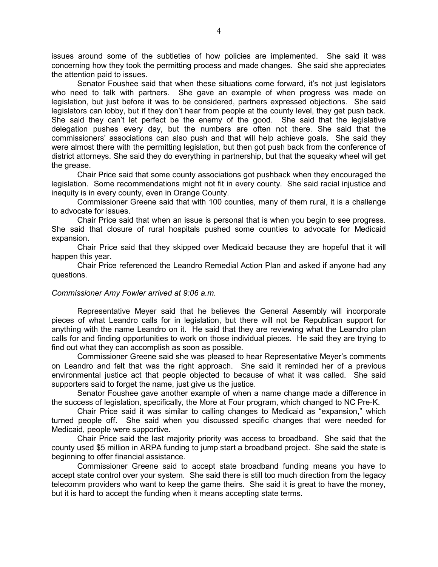issues around some of the subtleties of how policies are implemented. She said it was concerning how they took the permitting process and made changes. She said she appreciates the attention paid to issues.

Senator Foushee said that when these situations come forward, it's not just legislators who need to talk with partners. She gave an example of when progress was made on legislation, but just before it was to be considered, partners expressed objections. She said legislators can lobby, but if they don't hear from people at the county level, they get push back. She said they can't let perfect be the enemy of the good. She said that the legislative delegation pushes every day, but the numbers are often not there. She said that the commissioners' associations can also push and that will help achieve goals. She said they were almost there with the permitting legislation, but then got push back from the conference of district attorneys. She said they do everything in partnership, but that the squeaky wheel will get the grease.

Chair Price said that some county associations got pushback when they encouraged the legislation. Some recommendations might not fit in every county. She said racial injustice and inequity is in every county, even in Orange County.

Commissioner Greene said that with 100 counties, many of them rural, it is a challenge to advocate for issues.

Chair Price said that when an issue is personal that is when you begin to see progress. She said that closure of rural hospitals pushed some counties to advocate for Medicaid expansion.

Chair Price said that they skipped over Medicaid because they are hopeful that it will happen this year.

Chair Price referenced the Leandro Remedial Action Plan and asked if anyone had any questions.

#### Commissioner Amy Fowler arrived at 9:06 a.m.

Representative Meyer said that he believes the General Assembly will incorporate pieces of what Leandro calls for in legislation, but there will not be Republican support for anything with the name Leandro on it. He said that they are reviewing what the Leandro plan calls for and finding opportunities to work on those individual pieces. He said they are trying to find out what they can accomplish as soon as possible.

Commissioner Greene said she was pleased to hear Representative Meyer's comments on Leandro and felt that was the right approach. She said it reminded her of a previous environmental justice act that people objected to because of what it was called. She said supporters said to forget the name, just give us the justice.

Senator Foushee gave another example of when a name change made a difference in the success of legislation, specifically, the More at Four program, which changed to NC Pre-K.

Chair Price said it was similar to calling changes to Medicaid as "expansion," which turned people off. She said when you discussed specific changes that were needed for Medicaid, people were supportive.

Chair Price said the last majority priority was access to broadband. She said that the county used \$5 million in ARPA funding to jump start a broadband project. She said the state is beginning to offer financial assistance.

Commissioner Greene said to accept state broadband funding means you have to accept state control over your system. She said there is still too much direction from the legacy telecomm providers who want to keep the game theirs. She said it is great to have the money, but it is hard to accept the funding when it means accepting state terms.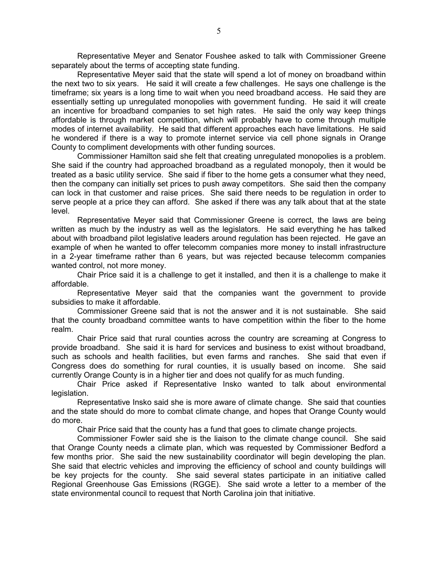Representative Meyer and Senator Foushee asked to talk with Commissioner Greene separately about the terms of accepting state funding.

Representative Meyer said that the state will spend a lot of money on broadband within the next two to six years. He said it will create a few challenges. He says one challenge is the timeframe; six years is a long time to wait when you need broadband access. He said they are essentially setting up unregulated monopolies with government funding. He said it will create an incentive for broadband companies to set high rates. He said the only way keep things affordable is through market competition, which will probably have to come through multiple modes of internet availability. He said that different approaches each have limitations. He said he wondered if there is a way to promote internet service via cell phone signals in Orange County to compliment developments with other funding sources.

Commissioner Hamilton said she felt that creating unregulated monopolies is a problem. She said if the country had approached broadband as a regulated monopoly, then it would be treated as a basic utility service. She said if fiber to the home gets a consumer what they need, then the company can initially set prices to push away competitors. She said then the company can lock in that customer and raise prices. She said there needs to be regulation in order to serve people at a price they can afford. She asked if there was any talk about that at the state level.

Representative Meyer said that Commissioner Greene is correct, the laws are being written as much by the industry as well as the legislators. He said everything he has talked about with broadband pilot legislative leaders around regulation has been rejected. He gave an example of when he wanted to offer telecomm companies more money to install infrastructure in a 2-year timeframe rather than 6 years, but was rejected because telecomm companies wanted control, not more money.

Chair Price said it is a challenge to get it installed, and then it is a challenge to make it affordable.

Representative Meyer said that the companies want the government to provide subsidies to make it affordable.

Commissioner Greene said that is not the answer and it is not sustainable. She said that the county broadband committee wants to have competition within the fiber to the home realm.

Chair Price said that rural counties across the country are screaming at Congress to provide broadband. She said it is hard for services and business to exist without broadband, such as schools and health facilities, but even farms and ranches. She said that even if Congress does do something for rural counties, it is usually based on income. She said currently Orange County is in a higher tier and does not qualify for as much funding.

Chair Price asked if Representative Insko wanted to talk about environmental legislation.

Representative Insko said she is more aware of climate change. She said that counties and the state should do more to combat climate change, and hopes that Orange County would do more.

Chair Price said that the county has a fund that goes to climate change projects.

Commissioner Fowler said she is the liaison to the climate change council. She said that Orange County needs a climate plan, which was requested by Commissioner Bedford a few months prior. She said the new sustainability coordinator will begin developing the plan. She said that electric vehicles and improving the efficiency of school and county buildings will be key projects for the county. She said several states participate in an initiative called Regional Greenhouse Gas Emissions (RGGE). She said wrote a letter to a member of the state environmental council to request that North Carolina join that initiative.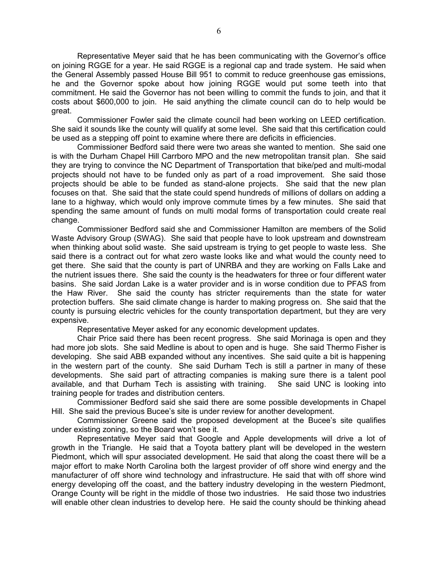Representative Meyer said that he has been communicating with the Governor's office on joining RGGE for a year. He said RGGE is a regional cap and trade system. He said when the General Assembly passed House Bill 951 to commit to reduce greenhouse gas emissions, he and the Governor spoke about how joining RGGE would put some teeth into that commitment. He said the Governor has not been willing to commit the funds to join, and that it costs about \$600,000 to join. He said anything the climate council can do to help would be great.

Commissioner Fowler said the climate council had been working on LEED certification. She said it sounds like the county will qualify at some level. She said that this certification could be used as a stepping off point to examine where there are deficits in efficiencies.

Commissioner Bedford said there were two areas she wanted to mention. She said one is with the Durham Chapel Hill Carrboro MPO and the new metropolitan transit plan. She said they are trying to convince the NC Department of Transportation that bike/ped and multi-modal projects should not have to be funded only as part of a road improvement. She said those projects should be able to be funded as stand-alone projects. She said that the new plan focuses on that. She said that the state could spend hundreds of millions of dollars on adding a lane to a highway, which would only improve commute times by a few minutes. She said that spending the same amount of funds on multi modal forms of transportation could create real change.

Commissioner Bedford said she and Commissioner Hamilton are members of the Solid Waste Advisory Group (SWAG). She said that people have to look upstream and downstream when thinking about solid waste. She said upstream is trying to get people to waste less. She said there is a contract out for what zero waste looks like and what would the county need to get there. She said that the county is part of UNRBA and they are working on Falls Lake and the nutrient issues there. She said the county is the headwaters for three or four different water basins. She said Jordan Lake is a water provider and is in worse condition due to PFAS from the Haw River. She said the county has stricter requirements than the state for water protection buffers. She said climate change is harder to making progress on. She said that the county is pursuing electric vehicles for the county transportation department, but they are very expensive.

Representative Meyer asked for any economic development updates.

Chair Price said there has been recent progress. She said Morinaga is open and they had more job slots. She said Medline is about to open and is huge. She said Thermo Fisher is developing. She said ABB expanded without any incentives. She said quite a bit is happening in the western part of the county. She said Durham Tech is still a partner in many of these developments. She said part of attracting companies is making sure there is a talent pool available, and that Durham Tech is assisting with training. She said UNC is looking into training people for trades and distribution centers.

Commissioner Bedford said she said there are some possible developments in Chapel Hill. She said the previous Bucee's site is under review for another development.

Commissioner Greene said the proposed development at the Bucee's site qualifies under existing zoning, so the Board won't see it.

Representative Meyer said that Google and Apple developments will drive a lot of growth in the Triangle. He said that a Toyota battery plant will be developed in the western Piedmont, which will spur associated development. He said that along the coast there will be a major effort to make North Carolina both the largest provider of off shore wind energy and the manufacturer of off shore wind technology and infrastructure. He said that with off shore wind energy developing off the coast, and the battery industry developing in the western Piedmont, Orange County will be right in the middle of those two industries. He said those two industries will enable other clean industries to develop here. He said the county should be thinking ahead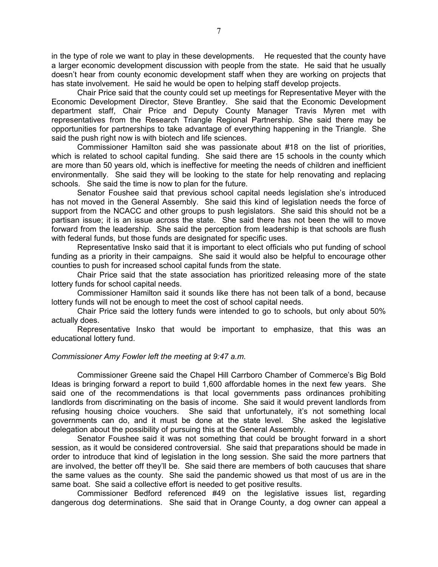in the type of role we want to play in these developments. He requested that the county have a larger economic development discussion with people from the state. He said that he usually doesn't hear from county economic development staff when they are working on projects that has state involvement. He said he would be open to helping staff develop projects.

Chair Price said that the county could set up meetings for Representative Meyer with the Economic Development Director, Steve Brantley. She said that the Economic Development department staff, Chair Price and Deputy County Manager Travis Myren met with representatives from the Research Triangle Regional Partnership. She said there may be opportunities for partnerships to take advantage of everything happening in the Triangle. She said the push right now is with biotech and life sciences.

Commissioner Hamilton said she was passionate about #18 on the list of priorities, which is related to school capital funding. She said there are 15 schools in the county which are more than 50 years old, which is ineffective for meeting the needs of children and inefficient environmentally. She said they will be looking to the state for help renovating and replacing schools. She said the time is now to plan for the future.

Senator Foushee said that previous school capital needs legislation she's introduced has not moved in the General Assembly. She said this kind of legislation needs the force of support from the NCACC and other groups to push legislators. She said this should not be a partisan issue; it is an issue across the state. She said there has not been the will to move forward from the leadership. She said the perception from leadership is that schools are flush with federal funds, but those funds are designated for specific uses.

Representative Insko said that it is important to elect officials who put funding of school funding as a priority in their campaigns. She said it would also be helpful to encourage other counties to push for increased school capital funds from the state.

Chair Price said that the state association has prioritized releasing more of the state lottery funds for school capital needs.

Commissioner Hamilton said it sounds like there has not been talk of a bond, because lottery funds will not be enough to meet the cost of school capital needs.

Chair Price said the lottery funds were intended to go to schools, but only about 50% actually does.

Representative Insko that would be important to emphasize, that this was an educational lottery fund.

#### Commissioner Amy Fowler left the meeting at 9:47 a.m.

Commissioner Greene said the Chapel Hill Carrboro Chamber of Commerce's Big Bold Ideas is bringing forward a report to build 1,600 affordable homes in the next few years. She said one of the recommendations is that local governments pass ordinances prohibiting landlords from discriminating on the basis of income. She said it would prevent landlords from refusing housing choice vouchers. She said that unfortunately, it's not something local governments can do, and it must be done at the state level. She asked the legislative delegation about the possibility of pursuing this at the General Assembly.

Senator Foushee said it was not something that could be brought forward in a short session, as it would be considered controversial. She said that preparations should be made in order to introduce that kind of legislation in the long session. She said the more partners that are involved, the better off they'll be. She said there are members of both caucuses that share the same values as the county. She said the pandemic showed us that most of us are in the same boat. She said a collective effort is needed to get positive results.

Commissioner Bedford referenced #49 on the legislative issues list, regarding dangerous dog determinations. She said that in Orange County, a dog owner can appeal a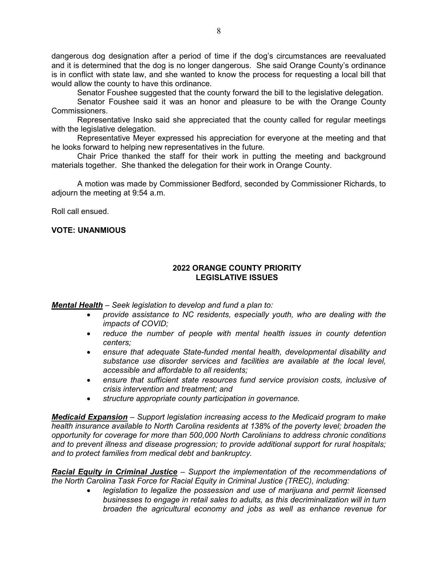dangerous dog designation after a period of time if the dog's circumstances are reevaluated and it is determined that the dog is no longer dangerous. She said Orange County's ordinance is in conflict with state law, and she wanted to know the process for requesting a local bill that would allow the county to have this ordinance.

Senator Foushee suggested that the county forward the bill to the legislative delegation.

Senator Foushee said it was an honor and pleasure to be with the Orange County Commissioners.

Representative Insko said she appreciated that the county called for regular meetings with the legislative delegation.

Representative Meyer expressed his appreciation for everyone at the meeting and that he looks forward to helping new representatives in the future.

Chair Price thanked the staff for their work in putting the meeting and background materials together. She thanked the delegation for their work in Orange County.

A motion was made by Commissioner Bedford, seconded by Commissioner Richards, to adjourn the meeting at 9:54 a.m.

Roll call ensued.

### VOTE: UNANMIOUS

### 2022 ORANGE COUNTY PRIORITY LEGISLATIVE ISSUES

Mental Health - Seek legislation to develop and fund a plan to:

- provide assistance to NC residents, especially youth, who are dealing with the impacts of COVID;
- reduce the number of people with mental health issues in county detention centers;
- ensure that adequate State-funded mental health, developmental disability and substance use disorder services and facilities are available at the local level, accessible and affordable to all residents;
- ensure that sufficient state resources fund service provision costs, inclusive of crisis intervention and treatment; and
- structure appropriate county participation in governance.

Medicaid Expansion - Support legislation increasing access to the Medicaid program to make health insurance available to North Carolina residents at 138% of the poverty level; broaden the opportunity for coverage for more than 500,000 North Carolinians to address chronic conditions and to prevent illness and disease progression; to provide additional support for rural hospitals; and to protect families from medical debt and bankruptcy.

Racial Equity in Criminal Justice - Support the implementation of the recommendations of the North Carolina Task Force for Racial Equity in Criminal Justice (TREC), including:

> legislation to legalize the possession and use of marijuana and permit licensed businesses to engage in retail sales to adults, as this decriminalization will in turn broaden the agricultural economy and jobs as well as enhance revenue for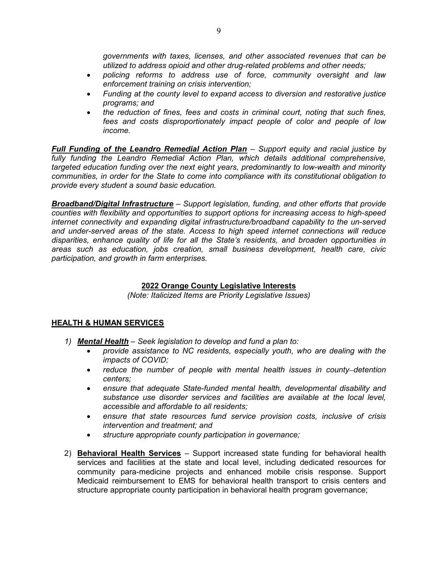governments with taxes, licenses, and other associated revenues that can be utilized to address opioid and other drug-related problems and other needs;

- policing reforms to address use of force, community oversight and law enforcement training on crisis intervention;
- Funding at the county level to expand access to diversion and restorative justice programs; and
- the reduction of fines, fees and costs in criminal court, noting that such fines, fees and costs disproportionately impact people of color and people of low income.

Full Funding of the Leandro Remedial Action Plan – Support equity and racial justice by fully funding the Leandro Remedial Action Plan, which details additional comprehensive, targeted education funding over the next eight years, predominantly to low-wealth and minority communities, in order for the State to come into compliance with its constitutional obligation to provide every student a sound basic education.

**Broadband/Digital Infrastructure** – Support legislation, funding, and other efforts that provide counties with flexibility and opportunities to support options for increasing access to high-speed internet connectivity and expanding digital infrastructure/broadband capability to the un-served and under-served areas of the state. Access to high speed internet connections will reduce disparities, enhance quality of life for all the State's residents, and broaden opportunities in areas such as education, jobs creation, small business development, health care, civic participation, and growth in farm enterprises.

## 2022 Orange County Legislative Interests

(Note: Italicized Items are Priority Legislative Issues)

### HEALTH & HUMAN SERVICES

- 1) Mental Health Seek legislation to develop and fund a plan to:
	- provide assistance to NC residents, especially youth, who are dealing with the impacts of COVID;
	- reduce the number of people with mental health issues in county–detention centers;
	- ensure that adequate State-funded mental health, developmental disability and substance use disorder services and facilities are available at the local level, accessible and affordable to all residents;
	- ensure that state resources fund service provision costs, inclusive of crisis intervention and treatment; and
	- structure appropriate county participation in governance;
- 2) Behavioral Health Services Support increased state funding for behavioral health services and facilities at the state and local level, including dedicated resources for community para-medicine projects and enhanced mobile crisis response. Support Medicaid reimbursement to EMS for behavioral health transport to crisis centers and structure appropriate county participation in behavioral health program governance;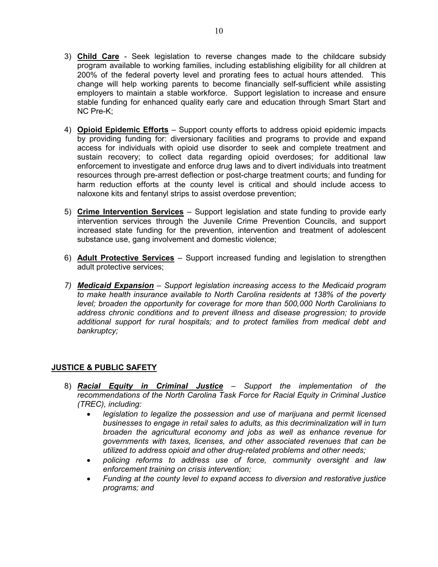- 3) Child Care Seek legislation to reverse changes made to the childcare subsidy program available to working families, including establishing eligibility for all children at 200% of the federal poverty level and prorating fees to actual hours attended. This change will help working parents to become financially self-sufficient while assisting employers to maintain a stable workforce. Support legislation to increase and ensure stable funding for enhanced quality early care and education through Smart Start and NC Pre-K;
- 4) Opioid Epidemic Efforts Support county efforts to address opioid epidemic impacts by providing funding for: diversionary facilities and programs to provide and expand access for individuals with opioid use disorder to seek and complete treatment and sustain recovery; to collect data regarding opioid overdoses; for additional law enforcement to investigate and enforce drug laws and to divert individuals into treatment resources through pre-arrest deflection or post-charge treatment courts; and funding for harm reduction efforts at the county level is critical and should include access to naloxone kits and fentanyl strips to assist overdose prevention;
- 5) Crime Intervention Services Support legislation and state funding to provide early intervention services through the Juvenile Crime Prevention Councils, and support increased state funding for the prevention, intervention and treatment of adolescent substance use, gang involvement and domestic violence;
- 6) Adult Protective Services Support increased funding and legislation to strengthen adult protective services;
- 7) Medicaid Expansion Support legislation increasing access to the Medicaid program to make health insurance available to North Carolina residents at 138% of the poverty level; broaden the opportunity for coverage for more than 500,000 North Carolinians to address chronic conditions and to prevent illness and disease progression; to provide additional support for rural hospitals; and to protect families from medical debt and bankruptcy;

# JUSTICE & PUBLIC SAFETY

- 8) **Racial Equity in Criminal Justice** Support the implementation of the recommendations of the North Carolina Task Force for Racial Equity in Criminal Justice (TREC), including:
	- legislation to legalize the possession and use of marijuana and permit licensed businesses to engage in retail sales to adults, as this decriminalization will in turn broaden the agricultural economy and jobs as well as enhance revenue for governments with taxes, licenses, and other associated revenues that can be utilized to address opioid and other drug-related problems and other needs;
	- policing reforms to address use of force, community oversight and law enforcement training on crisis intervention;
	- Funding at the county level to expand access to diversion and restorative justice programs; and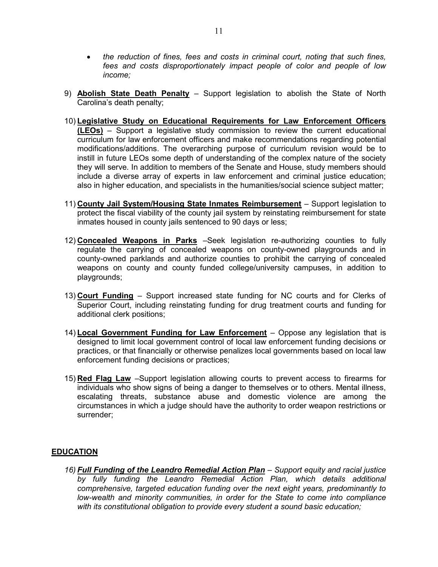- the reduction of fines, fees and costs in criminal court, noting that such fines, fees and costs disproportionately impact people of color and people of low income;
- 9) **Abolish State Death Penalty** Support legislation to abolish the State of North Carolina's death penalty;
- 10) Legislative Study on Educational Requirements for Law Enforcement Officers (LEOs) – Support a legislative study commission to review the current educational curriculum for law enforcement officers and make recommendations regarding potential modifications/additions. The overarching purpose of curriculum revision would be to instill in future LEOs some depth of understanding of the complex nature of the society they will serve. In addition to members of the Senate and House, study members should include a diverse array of experts in law enforcement and criminal justice education; also in higher education, and specialists in the humanities/social science subject matter;
- 11) County Jail System/Housing State Inmates Reimbursement Support legislation to protect the fiscal viability of the county jail system by reinstating reimbursement for state inmates housed in county jails sentenced to 90 days or less;
- 12) Concealed Weapons in Parks –Seek legislation re-authorizing counties to fully regulate the carrying of concealed weapons on county-owned playgrounds and in county-owned parklands and authorize counties to prohibit the carrying of concealed weapons on county and county funded college/university campuses, in addition to playgrounds;
- 13) Court Funding Support increased state funding for NC courts and for Clerks of Superior Court, including reinstating funding for drug treatment courts and funding for additional clerk positions;
- 14) Local Government Funding for Law Enforcement Oppose any legislation that is designed to limit local government control of local law enforcement funding decisions or practices, or that financially or otherwise penalizes local governments based on local law enforcement funding decisions or practices;
- 15) Red Flag Law –Support legislation allowing courts to prevent access to firearms for individuals who show signs of being a danger to themselves or to others. Mental illness, escalating threats, substance abuse and domestic violence are among the circumstances in which a judge should have the authority to order weapon restrictions or surrender;

#### **EDUCATION**

16) Full Funding of the Leandro Remedial Action Plan – Support equity and racial justice by fully funding the Leandro Remedial Action Plan, which details additional comprehensive, targeted education funding over the next eight years, predominantly to low-wealth and minority communities, in order for the State to come into compliance with its constitutional obligation to provide every student a sound basic education;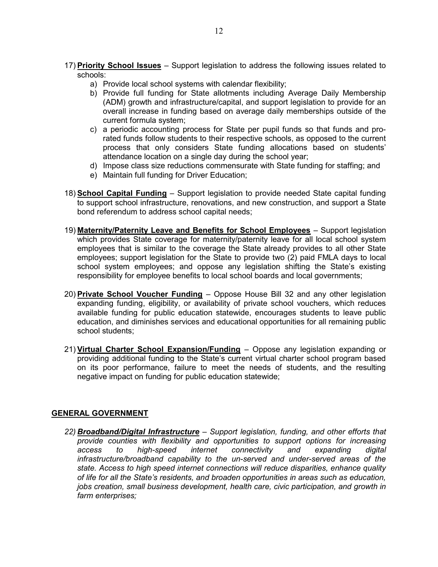- 17) Priority School Issues Support legislation to address the following issues related to schools:
	- a) Provide local school systems with calendar flexibility;
	- b) Provide full funding for State allotments including Average Daily Membership (ADM) growth and infrastructure/capital, and support legislation to provide for an overall increase in funding based on average daily memberships outside of the current formula system;
	- c) a periodic accounting process for State per pupil funds so that funds and prorated funds follow students to their respective schools, as opposed to the current process that only considers State funding allocations based on students' attendance location on a single day during the school year;
	- d) Impose class size reductions commensurate with State funding for staffing; and
	- e) Maintain full funding for Driver Education;
- 18) School Capital Funding Support legislation to provide needed State capital funding to support school infrastructure, renovations, and new construction, and support a State bond referendum to address school capital needs;
- 19) Maternity/Paternity Leave and Benefits for School Employees Support legislation which provides State coverage for maternity/paternity leave for all local school system employees that is similar to the coverage the State already provides to all other State employees; support legislation for the State to provide two (2) paid FMLA days to local school system employees; and oppose any legislation shifting the State's existing responsibility for employee benefits to local school boards and local governments;
- 20) **Private School Voucher Funding** Oppose House Bill 32 and any other legislation expanding funding, eligibility, or availability of private school vouchers, which reduces available funding for public education statewide, encourages students to leave public education, and diminishes services and educational opportunities for all remaining public school students;
- 21) Virtual Charter School Expansion/Funding Oppose any legislation expanding or providing additional funding to the State's current virtual charter school program based on its poor performance, failure to meet the needs of students, and the resulting negative impact on funding for public education statewide;

### GENERAL GOVERNMENT

22) Broadband/Digital Infrastructure - Support legislation, funding, and other efforts that provide counties with flexibility and opportunities to support options for increasing access to high-speed internet connectivity and expanding digital infrastructure/broadband capability to the un-served and under-served areas of the state. Access to high speed internet connections will reduce disparities, enhance quality of life for all the State's residents, and broaden opportunities in areas such as education, jobs creation, small business development, health care, civic participation, and growth in farm enterprises;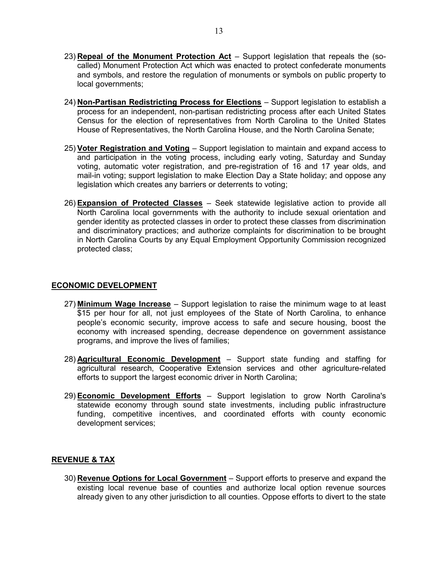- 23) Repeal of the Monument Protection Act Support legislation that repeals the (socalled) Monument Protection Act which was enacted to protect confederate monuments and symbols, and restore the regulation of monuments or symbols on public property to local governments:
- 24) Non-Partisan Redistricting Process for Elections Support legislation to establish a process for an independent, non-partisan redistricting process after each United States Census for the election of representatives from North Carolina to the United States House of Representatives, the North Carolina House, and the North Carolina Senate;
- 25) Voter Registration and Voting Support legislation to maintain and expand access to and participation in the voting process, including early voting, Saturday and Sunday voting, automatic voter registration, and pre-registration of 16 and 17 year olds, and mail-in voting; support legislation to make Election Day a State holiday; and oppose any legislation which creates any barriers or deterrents to voting;
- 26) Expansion of Protected Classes Seek statewide legislative action to provide all North Carolina local governments with the authority to include sexual orientation and gender identity as protected classes in order to protect these classes from discrimination and discriminatory practices; and authorize complaints for discrimination to be brought in North Carolina Courts by any Equal Employment Opportunity Commission recognized protected class;

### ECONOMIC DEVELOPMENT

- 27) Minimum Wage Increase Support legislation to raise the minimum wage to at least \$15 per hour for all, not just employees of the State of North Carolina, to enhance people's economic security, improve access to safe and secure housing, boost the economy with increased spending, decrease dependence on government assistance programs, and improve the lives of families;
- 28) **Agricultural Economic Development** Support state funding and staffing for agricultural research, Cooperative Extension services and other agriculture-related efforts to support the largest economic driver in North Carolina;
- 29) **Economic Development Efforts** Support legislation to grow North Carolina's statewide economy through sound state investments, including public infrastructure funding, competitive incentives, and coordinated efforts with county economic development services;

### REVENUE & TAX

30) Revenue Options for Local Government - Support efforts to preserve and expand the existing local revenue base of counties and authorize local option revenue sources already given to any other jurisdiction to all counties. Oppose efforts to divert to the state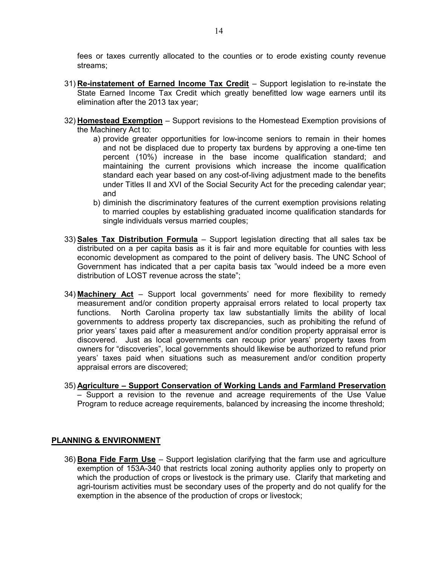fees or taxes currently allocated to the counties or to erode existing county revenue streams;

- 31) Re-instatement of Earned Income Tax Credit  $-$  Support legislation to re-instate the State Earned Income Tax Credit which greatly benefitted low wage earners until its elimination after the 2013 tax year;
- 32) Homestead Exemption Support revisions to the Homestead Exemption provisions of the Machinery Act to:
	- a) provide greater opportunities for low-income seniors to remain in their homes and not be displaced due to property tax burdens by approving a one-time ten percent (10%) increase in the base income qualification standard; and maintaining the current provisions which increase the income qualification standard each year based on any cost-of-living adjustment made to the benefits under Titles II and XVI of the Social Security Act for the preceding calendar year; and
	- b) diminish the discriminatory features of the current exemption provisions relating to married couples by establishing graduated income qualification standards for single individuals versus married couples;
- 33) Sales Tax Distribution Formula Support legislation directing that all sales tax be distributed on a per capita basis as it is fair and more equitable for counties with less economic development as compared to the point of delivery basis. The UNC School of Government has indicated that a per capita basis tax "would indeed be a more even distribution of LOST revenue across the state";
- 34) Machinery  $Act Support local governments' need for more flexibility to remedy$ measurement and/or condition property appraisal errors related to local property tax functions. North Carolina property tax law substantially limits the ability of local governments to address property tax discrepancies, such as prohibiting the refund of prior years' taxes paid after a measurement and/or condition property appraisal error is discovered. Just as local governments can recoup prior years' property taxes from owners for "discoveries", local governments should likewise be authorized to refund prior years' taxes paid when situations such as measurement and/or condition property appraisal errors are discovered;
- 35) Agriculture Support Conservation of Working Lands and Farmland Preservation – Support a revision to the revenue and acreage requirements of the Use Value Program to reduce acreage requirements, balanced by increasing the income threshold;

### PLANNING & ENVIRONMENT

36) Bona Fide Farm Use – Support legislation clarifying that the farm use and agriculture exemption of 153A-340 that restricts local zoning authority applies only to property on which the production of crops or livestock is the primary use. Clarify that marketing and agri-tourism activities must be secondary uses of the property and do not qualify for the exemption in the absence of the production of crops or livestock;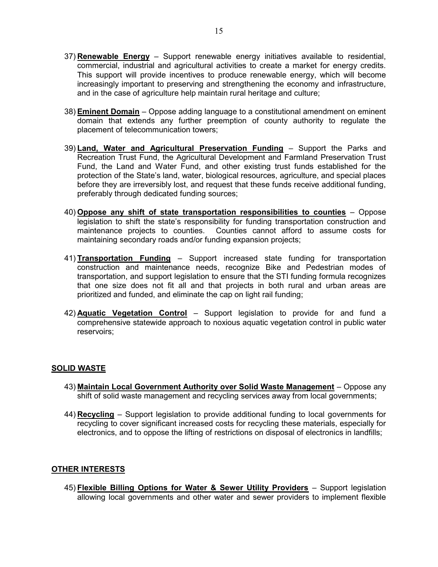- 37) **Renewable Energy** Support renewable energy initiatives available to residential, commercial, industrial and agricultural activities to create a market for energy credits. This support will provide incentives to produce renewable energy, which will become increasingly important to preserving and strengthening the economy and infrastructure, and in the case of agriculture help maintain rural heritage and culture;
- 38) **Eminent Domain** Oppose adding language to a constitutional amendment on eminent domain that extends any further preemption of county authority to regulate the placement of telecommunication towers;
- 39) Land, Water and Agricultural Preservation Funding Support the Parks and Recreation Trust Fund, the Agricultural Development and Farmland Preservation Trust Fund, the Land and Water Fund, and other existing trust funds established for the protection of the State's land, water, biological resources, agriculture, and special places before they are irreversibly lost, and request that these funds receive additional funding, preferably through dedicated funding sources;
- 40) Oppose any shift of state transportation responsibilities to counties Oppose legislation to shift the state's responsibility for funding transportation construction and maintenance projects to counties. Counties cannot afford to assume costs for maintaining secondary roads and/or funding expansion projects;
- 41) Transportation Funding Support increased state funding for transportation construction and maintenance needs, recognize Bike and Pedestrian modes of transportation, and support legislation to ensure that the STI funding formula recognizes that one size does not fit all and that projects in both rural and urban areas are prioritized and funded, and eliminate the cap on light rail funding;
- 42) **Aquatic Vegetation Control** Support legislation to provide for and fund a comprehensive statewide approach to noxious aquatic vegetation control in public water reservoirs;

### SOLID WASTE

- 43) Maintain Local Government Authority over Solid Waste Management Oppose any shift of solid waste management and recycling services away from local governments;
- 44) Recycling Support legislation to provide additional funding to local governments for recycling to cover significant increased costs for recycling these materials, especially for electronics, and to oppose the lifting of restrictions on disposal of electronics in landfills;

#### OTHER INTERESTS

45) Flexible Billing Options for Water & Sewer Utility Providers - Support legislation allowing local governments and other water and sewer providers to implement flexible